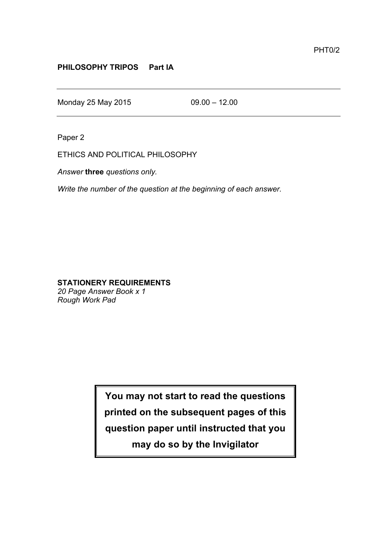## **PHILOSOPHY TRIPOS Part IA**

Monday 25 May 2015 09.00 – 12.00

Paper 2

ETHICS AND POLITICAL PHILOSOPHY

*Answer* **three** *questions only.*

*Write the number of the question at the beginning of each answer.*

## **STATIONERY REQUIREMENTS**

*20 Page Answer Book x 1 Rough Work Pad*

> **You may not start to read the questions printed on the subsequent pages of this question paper until instructed that you may do so by the Invigilator**